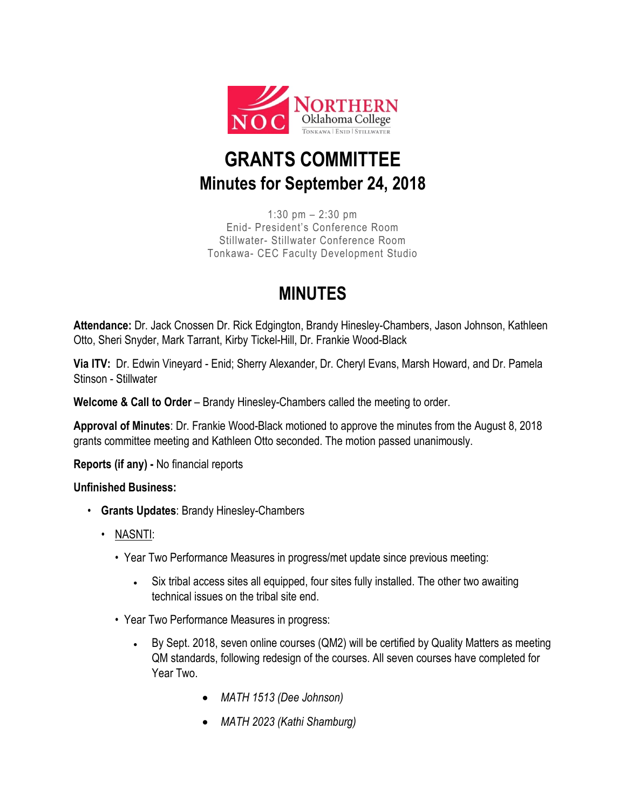

## **GRANTS COMMITTEE Minutes for September 24, 2018**

1:30 pm – 2:30 pm Enid- President's Conference Room Stillwater- Stillwater Conference Room Tonkawa- CEC Faculty Development Studio

## **MINUTES**

**Attendance:** Dr. Jack Cnossen Dr. Rick Edgington, Brandy Hinesley-Chambers, Jason Johnson, Kathleen Otto, Sheri Snyder, Mark Tarrant, Kirby Tickel-Hill, Dr. Frankie Wood-Black

**Via ITV:** Dr. Edwin Vineyard - Enid; Sherry Alexander, Dr. Cheryl Evans, Marsh Howard, and Dr. Pamela Stinson - Stillwater

**Welcome & Call to Order** – Brandy Hinesley-Chambers called the meeting to order.

**Approval of Minutes**: Dr. Frankie Wood-Black motioned to approve the minutes from the August 8, 2018 grants committee meeting and Kathleen Otto seconded. The motion passed unanimously.

**Reports (if any) -** No financial reports

## **Unfinished Business:**

- **Grants Updates**: Brandy Hinesley-Chambers
	- NASNTI:
		- Year Two Performance Measures in progress/met update since previous meeting:
			- Six tribal access sites all equipped, four sites fully installed. The other two awaiting technical issues on the tribal site end.
		- Year Two Performance Measures in progress:
			- By Sept. 2018, seven online courses (QM2) will be certified by Quality Matters as meeting QM standards, following redesign of the courses. All seven courses have completed for Year Two.
				- *MATH 1513 (Dee Johnson)*
				- *MATH 2023 (Kathi Shamburg)*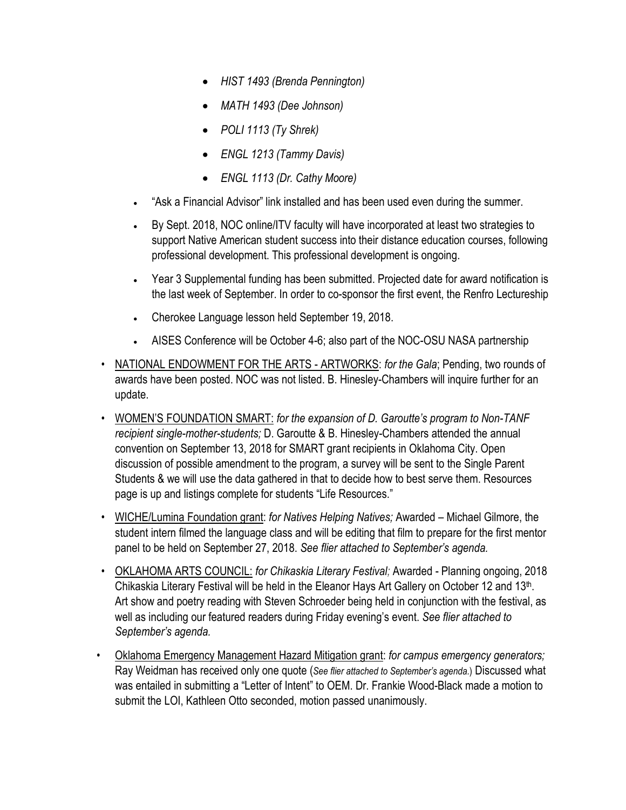- *HIST 1493 (Brenda Pennington)*
- *MATH 1493 (Dee Johnson)*
- *POLI 1113 (Ty Shrek)*
- *ENGL 1213 (Tammy Davis)*
- *ENGL 1113 (Dr. Cathy Moore)*
- "Ask a Financial Advisor" link installed and has been used even during the summer.
- By Sept. 2018, NOC online/ITV faculty will have incorporated at least two strategies to support Native American student success into their distance education courses, following professional development. This professional development is ongoing.
- Year 3 Supplemental funding has been submitted. Projected date for award notification is the last week of September. In order to co-sponsor the first event, the Renfro Lectureship
- Cherokee Language lesson held September 19, 2018.
- AISES Conference will be October 4-6; also part of the NOC-OSU NASA partnership
- NATIONAL ENDOWMENT FOR THE ARTS ARTWORKS: *for the Gala*; Pending, two rounds of awards have been posted. NOC was not listed. B. Hinesley-Chambers will inquire further for an update.
- WOMEN'S FOUNDATION SMART: *for the expansion of D. Garoutte's program to Non-TANF recipient single-mother-students;* D. Garoutte & B. Hinesley-Chambers attended the annual convention on September 13, 2018 for SMART grant recipients in Oklahoma City. Open discussion of possible amendment to the program, a survey will be sent to the Single Parent Students & we will use the data gathered in that to decide how to best serve them. Resources page is up and listings complete for students "Life Resources."
- WICHE/Lumina Foundation grant: *for Natives Helping Natives;* Awarded Michael Gilmore, the student intern filmed the language class and will be editing that film to prepare for the first mentor panel to be held on September 27, 2018. *See flier attached to September's agenda.*
- OKLAHOMA ARTS COUNCIL: *for Chikaskia Literary Festival;* Awarded Planning ongoing, 2018 Chikaskia Literary Festival will be held in the Eleanor Hays Art Gallery on October 12 and 13th. Art show and poetry reading with Steven Schroeder being held in conjunction with the festival, as well as including our featured readers during Friday evening's event. *See flier attached to September's agenda.*
- Oklahoma Emergency Management Hazard Mitigation grant: *for campus emergency generators;*  Ray Weidman has received only one quote (*See flier attached to September's agenda.*) Discussed what was entailed in submitting a "Letter of Intent" to OEM. Dr. Frankie Wood-Black made a motion to submit the LOI, Kathleen Otto seconded, motion passed unanimously.